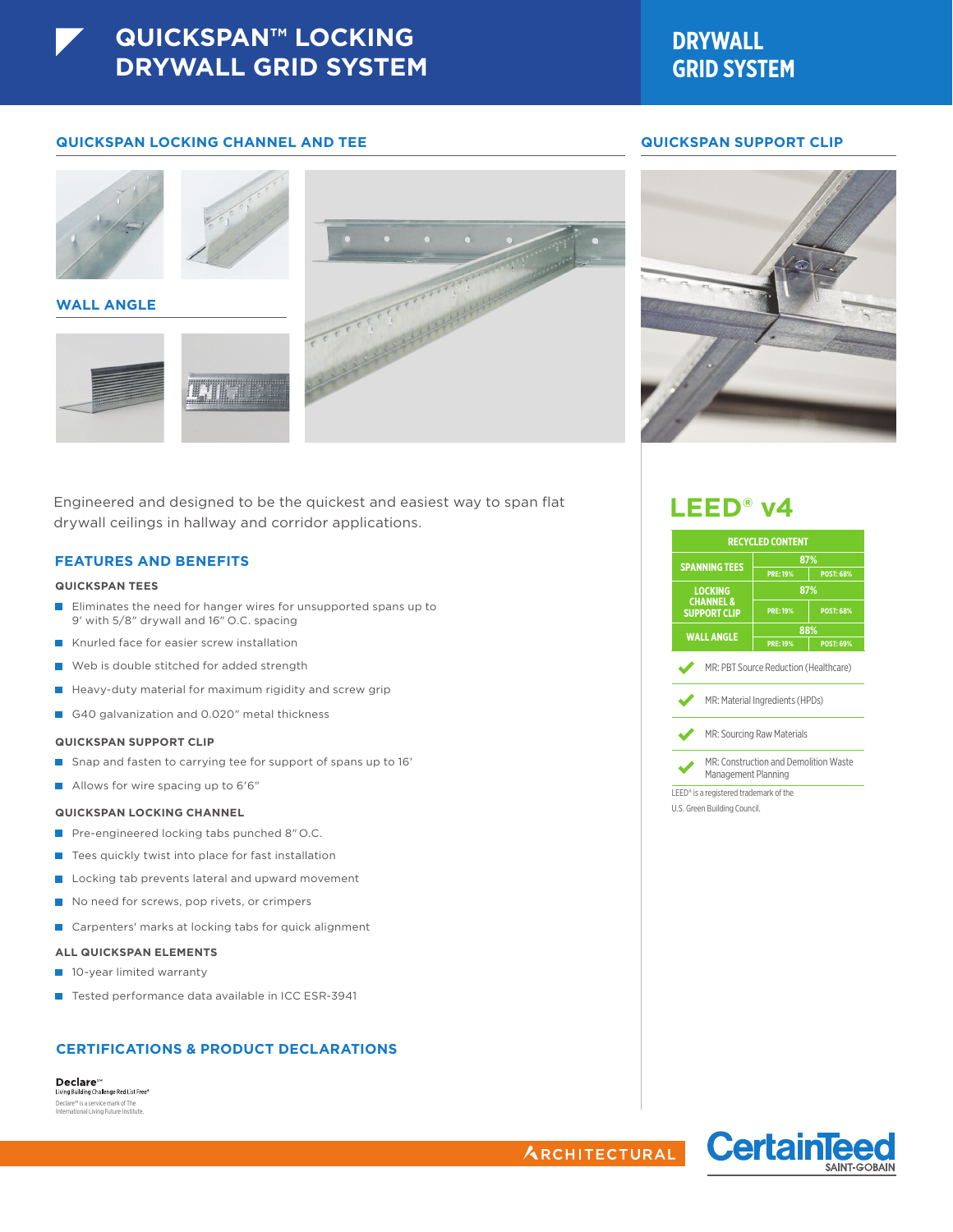# **DRYWALL GRID SYSTEM**

## **QUICKSPAN LOCKING CHANNEL AND TEE QUICKSPAN SUPPORT CLIP**



### **WALL ANGLE**





Engineered and designed to be the quickest and easiest way to span flat drywall ceilings in hallway and corridor applications.

## **FEATURES AND BENEFITS**

### **QUICKSPAN TEES**

- **Eliminates the need for hanger wires for unsupported spans up to** 9' with 5/8" drywall and 16" O.C. spacing
- Knurled face for easier screw installation
- Web is double stitched for added strength
- $\blacksquare$  Heavy-duty material for maximum rigidity and screw grip
- G40 galvanization and 0.020" metal thickness

### **QUICKSPAN SUPPORT CLIP**

- Snap and fasten to carrying tee for support of spans up to 16'
- Allows for wire spacing up to 6'6"

### **QUICKSPAN LOCKING CHANNEL**

- Pre-engineered locking tabs punched 8" O.C.
- Tees quickly twist into place for fast installation
- Locking tab prevents lateral and upward movement
- No need for screws, pop rivets, or crimpers
- Carpenters' marks at locking tabs for quick alignment

### **ALL QUICKSPAN ELEMENTS**

- 10-year limited warranty
- Tested performance data available in ICC ESR-3941

# **CERTIFICATIONS & PRODUCT DECLARATIONS**

#### **Declare** ving Building Challenge Red List Free®

Declare™ is a service mark of The<br>International Living Future Institute.



# **LEED® v4**

|                                             | <b>RECYCLED CONTENT</b>                                                  |                  |  |  |  |
|---------------------------------------------|--------------------------------------------------------------------------|------------------|--|--|--|
| <b>SPANNING TEES</b>                        |                                                                          | 87%              |  |  |  |
|                                             | <b>PRE: 19%</b>                                                          | <b>POST: 68%</b> |  |  |  |
| <b>LOCKING</b>                              |                                                                          | 87%              |  |  |  |
| <b>CHANNEL &amp;</b><br><b>SUPPORT CLIP</b> | <b>PRE: 19%</b><br><b>POST: 68%</b>                                      |                  |  |  |  |
| <b>WALL ANGLE</b>                           |                                                                          | 88%              |  |  |  |
|                                             | <b>PRE: 19%</b>                                                          | <b>POST: 69%</b> |  |  |  |
|                                             | MR: PBT Source Reduction (Healthcare)<br>MR: Material Ingredients (HPDs) |                  |  |  |  |
|                                             | MR: Sourcing Raw Materials                                               |                  |  |  |  |
| Management Planning                         | MR: Construction and Demolition Waste                                    |                  |  |  |  |
| LEED® is a registered trademark of the      |                                                                          |                  |  |  |  |
| U.S. Green Building Council.                |                                                                          |                  |  |  |  |



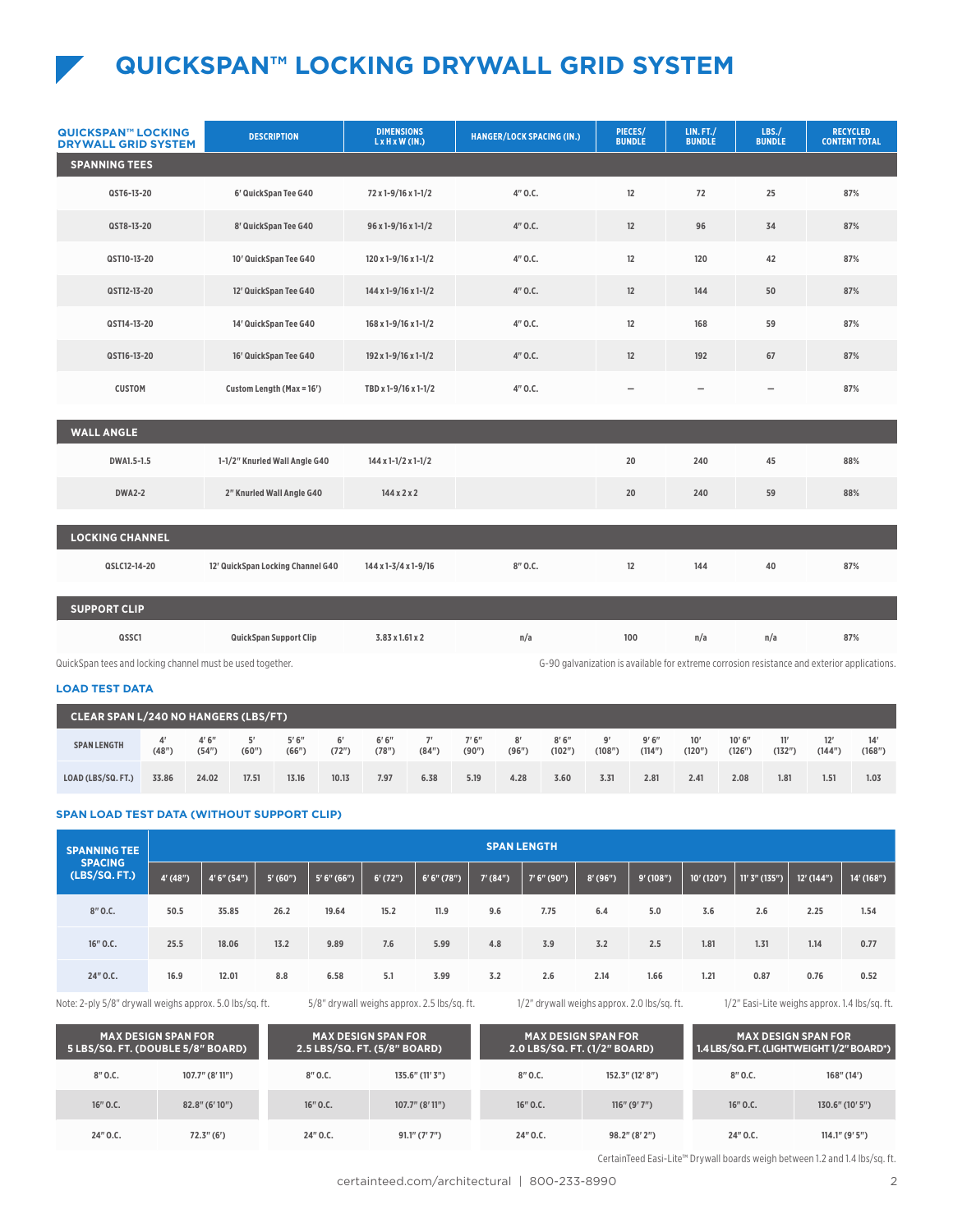# **QUICKSPAN™ LOCKING DRYWALL GRID SYSTEM**

| <b>QUICKSPAN™ LOCKING</b><br><b>DRYWALL GRID SYSTEM</b>   | <b>DESCRIPTION</b>                | <b>DIMENSIONS</b><br>$L \times H \times W$ (IN.) | <b>HANGER/LOCK SPACING (IN.)</b>                                                            | PIECES/<br><b>BUNDLE</b> | LIN.FT./<br><b>BUNDLE</b> | LBS./<br><b>BUNDLE</b> | <b>RECYCLED</b><br><b>CONTENT TOTAL</b> |  |  |  |
|-----------------------------------------------------------|-----------------------------------|--------------------------------------------------|---------------------------------------------------------------------------------------------|--------------------------|---------------------------|------------------------|-----------------------------------------|--|--|--|
| <b>SPANNING TEES</b>                                      |                                   |                                                  |                                                                                             |                          |                           |                        |                                         |  |  |  |
| QST6-13-20                                                | 6' QuickSpan Tee G40              | 72 x 1-9/16 x 1-1/2                              | 4"0.C.                                                                                      | 12                       | 72                        | 25                     | 87%                                     |  |  |  |
| QST8-13-20                                                | 8' QuickSpan Tee G40              | $96x1 - 9/16x1 - 1/2$                            | 4"0.C.                                                                                      | 12                       | 96                        | 34                     | 87%                                     |  |  |  |
| QST10-13-20                                               | 10' QuickSpan Tee G40             | 120 x 1-9/16 x 1-1/2                             | 4"0.C.                                                                                      | 12                       | 120                       | 42                     | 87%                                     |  |  |  |
| QST12-13-20                                               | 12' QuickSpan Tee G40             | $144 \times 1 - 9/16 \times 1 - 1/2$             | 4"0.C.                                                                                      | 12                       | 144                       | 50                     | 87%                                     |  |  |  |
| QST14-13-20                                               | 14' QuickSpan Tee G40             | $168 \times 1 - 9/16 \times 1 - 1/2$             | 4"0.C.                                                                                      | 12                       | 168                       | 59                     | 87%                                     |  |  |  |
| QST16-13-20                                               | 16' QuickSpan Tee G40             | 192 x 1-9/16 x 1-1/2                             | 4"0.C.<br>12                                                                                |                          | 192                       | 67                     | 87%                                     |  |  |  |
| <b>CUSTOM</b>                                             | Custom Length (Max = 16')         | TBD x 1-9/16 x 1-1/2                             | 4"0.C.<br>-                                                                                 |                          | $\qquad \qquad -$         | $\qquad \qquad -$      | 87%                                     |  |  |  |
| <b>WALL ANGLE</b>                                         |                                   |                                                  |                                                                                             |                          |                           |                        |                                         |  |  |  |
| DWA1.5-1.5                                                | 1-1/2" Knurled Wall Angle G40     | $144 \times 1 - 1/2 \times 1 - 1/2$              |                                                                                             | 20                       | 240                       | 45                     | 88%                                     |  |  |  |
| <b>DWA2-2</b>                                             | 2" Knurled Wall Angle G40         | 144x2x2                                          |                                                                                             | 20                       | 240                       | 59                     | 88%                                     |  |  |  |
|                                                           |                                   |                                                  |                                                                                             |                          |                           |                        |                                         |  |  |  |
| <b>LOCKING CHANNEL</b>                                    |                                   |                                                  |                                                                                             |                          |                           |                        |                                         |  |  |  |
| QSLC12-14-20                                              | 12' QuickSpan Locking Channel G40 | 144 x 1-3/4 x 1-9/16                             | 8"0.C.                                                                                      | 12                       | 144                       | 40                     | 87%                                     |  |  |  |
| <b>SUPPORT CLIP</b>                                       |                                   |                                                  |                                                                                             |                          |                           |                        |                                         |  |  |  |
| QSSC1                                                     | QuickSpan Support Clip            | 3.83 x 1.61 x 2                                  | n/a                                                                                         | 100                      | n/a                       | n/a                    | 87%                                     |  |  |  |
| QuickSpan tees and locking channel must be used together. |                                   |                                                  | G-90 galvanization is available for extreme corrosion resistance and exterior applications. |                          |                           |                        |                                         |  |  |  |

Span tees and locking channel must be used together

# **LOAD TEST DATA**

| <b>CLEAR SPAN L/240 NO HANGERS (LBS/FT)</b> |       |                |       |                |             |                             |             |                |             |                 |        |                 |               |                 |               |              |               |
|---------------------------------------------|-------|----------------|-------|----------------|-------------|-----------------------------|-------------|----------------|-------------|-----------------|--------|-----------------|---------------|-----------------|---------------|--------------|---------------|
| <b>SPAN LENGTH</b>                          | (48"  | 4'6''<br>(54") | (60") | 5'6''<br>(66") | 6'<br>(72") | 6'6''<br>(78 <sup>n</sup> ) | 7'<br>(84") | 7'6''<br>(90") | 8'<br>(96") | 8'6''<br>(102") | (108") | 9'6''<br>(114") | 10'<br>(120") | 10'6''<br>(126" | 11′<br>(132") | 12'<br>(144" | 14'<br>(168") |
| LOAD (LBS/SQ, FT.)                          | 33.86 | 24.02          | 17.51 | 13.16          | 10.13       | 7.97                        | 6.38        | 5.19           | 4.28        | 3.60            | 3.31   | 2.81            | 2.41          | 2.08            | 1.81          | 1.51         | 1.03          |

# **SPAN LOAD TEST DATA (WITHOUT SUPPORT CLIP)**

| <b>SPANNING TEE</b><br><b>SPACING</b><br>(LBS/SQ. FT.) |           | <b>SPAN LENGTH</b> |         |               |            |               |           |             |            |            |              |                 |              |              |  |
|--------------------------------------------------------|-----------|--------------------|---------|---------------|------------|---------------|-----------|-------------|------------|------------|--------------|-----------------|--------------|--------------|--|
|                                                        | 4' (48'') | 4' 6'' (54'')      | 5'(60") | 5' 6'' (66'') | $6'$ (72") | 6' 6'' (78'') | 7' (84'') | 7'6''(90'') | $8'$ (96") | 9' (108'') | $10'$ (120") | $11'3''$ (135") | $12'$ (144") | $14'$ (168") |  |
| 8"0.C.                                                 | 50.5      | 35.85              | 26.2    | 19.64         | 15.2       | 11.9          | 9.6       | 7.75        | 6.4        | 5.0        | 3.6          | 2.6             | 2.25         | 1.54         |  |
| $16"$ O.C.                                             | 25.5      | 18.06              | 13.2    | 9.89          | 7.6        | 5.99          | 4.8       | 3.9         | 3.2        | 2.5        | 1.81         | 1.31            | 1.14         | 0.77         |  |
| 24" O.C.                                               | 16.9      | 12.01              | 8.8     | 6.58          | 5.1        | 3.99          | 3.2       | 2.6         | 2.14       | 1.66       | 1.21         | 0.87            | 0.76         | 0.52         |  |

Note: 2-ply 5/8" drywall weighs approx. 5.0 lbs/sq. ft. 5/8" drywall weighs approx. 2.5 lbs/sq. ft. 1/2" drywall weighs approx. 2.0 lbs/sq. ft. 1/2" Easi-Lite weighs approx. 1.4 lbs/sq. ft.

|            | <b>MAX DESIGN SPAN FOR</b><br>5 LBS/SQ. FT. (DOUBLE 5/8" BOARD) |            | <b>MAX DESIGN SPAN FOR</b><br>2.5 LBS/SQ. FT. (5/8" BOARD) |            | <b>MAX DESIGN SPAN FOR</b><br>2.0 LBS/SQ. FT. (1/2" BOARD) | <b>MAX DESIGN SPAN FOR</b><br>1.4 LBS/SQ. FT. (LIGHTWEIGHT1/2" BOARD*) |                    |  |  |
|------------|-----------------------------------------------------------------|------------|------------------------------------------------------------|------------|------------------------------------------------------------|------------------------------------------------------------------------|--------------------|--|--|
| 8"0.C.     | $107.7$ " (8' 11")                                              | 8"0.C.     | $135.6"$ (11' 3")                                          | 8"0.C.     | 152.3" (12' 8")                                            | 8"0.C.                                                                 | 168''(14')         |  |  |
| $16"$ O.C. | $82.8$ " (6' 10")                                               | $16"$ O.C. | $107.7$ " (8' 11")                                         | $16"$ O.C. | 116'' (9'7'')                                              | $16"$ O.C.                                                             | $130.6$ " (10' 5") |  |  |
| 24"0.C.    | 72.3''(6')                                                      | 24"0.C.    | $91.1$ " (7' 7")                                           | 24"0.C.    | $98.2$ " (8' 2")                                           | 24"0.C.                                                                | $114.1$ " (9' 5")  |  |  |

CertainTeed Easi-Lite™ Drywall boards weigh between 1.2 and 1.4 lbs/sq. ft.